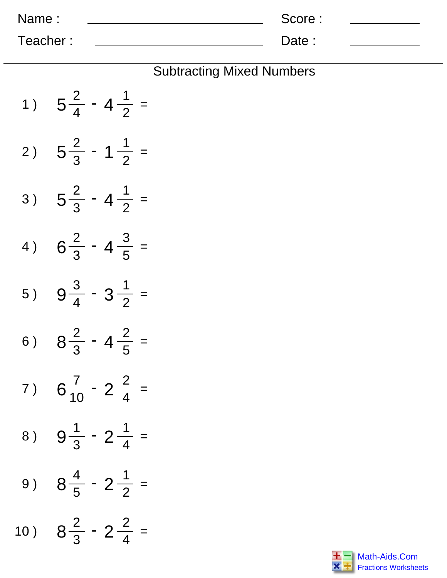| Name:    | Score: |  |
|----------|--------|--|
| Teacher: | Date:  |  |

## Subtracting Mixed Numbers

| 1)  | $5\frac{2}{4}$ - 4 $\frac{1}{2}$ = |
|-----|------------------------------------|
| 2)  | $5\frac{2}{3}$ - 1 $\frac{1}{2}$ = |
| 3)  | $5\frac{2}{3}$ - 4 $\frac{1}{2}$ = |
| 4)  | $6\frac{2}{3}$ - 4 $\frac{3}{5}$ = |
| 5)  | $9\frac{3}{4} - 3\frac{1}{2}$ =    |
| 6)  | $8\frac{2}{3}$ - 4 $\frac{2}{5}$ = |
| 7)  | $6\frac{7}{10} - 2\frac{2}{4}$ =   |
|     | 8) $9\frac{1}{3} - 2\frac{1}{4} =$ |
| 9 ) | $8\frac{4}{5}$ - 2 $\frac{1}{2}$ = |
| 10) | $8\frac{2}{3} - 2\frac{2}{4}$ =    |